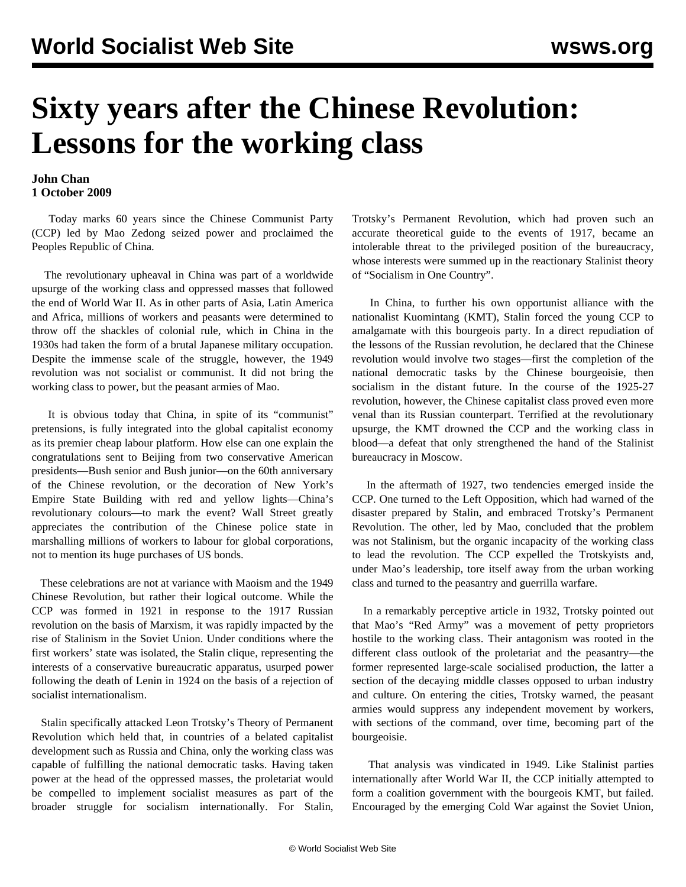## **Sixty years after the Chinese Revolution: Lessons for the working class**

## **John Chan 1 October 2009**

 Today marks 60 years since the Chinese Communist Party (CCP) led by Mao Zedong seized power and proclaimed the Peoples Republic of China.

 The revolutionary upheaval in China was part of a worldwide upsurge of the working class and oppressed masses that followed the end of World War II. As in other parts of Asia, Latin America and Africa, millions of workers and peasants were determined to throw off the shackles of colonial rule, which in China in the 1930s had taken the form of a brutal Japanese military occupation. Despite the immense scale of the struggle, however, the 1949 revolution was not socialist or communist. It did not bring the working class to power, but the peasant armies of Mao.

 It is obvious today that China, in spite of its "communist" pretensions, is fully integrated into the global capitalist economy as its premier cheap labour platform. How else can one explain the congratulations sent to Beijing from two conservative American presidents—Bush senior and Bush junior—on the 60th anniversary of the Chinese revolution, or the decoration of New York's Empire State Building with red and yellow lights—China's revolutionary colours—to mark the event? Wall Street greatly appreciates the contribution of the Chinese police state in marshalling millions of workers to labour for global corporations, not to mention its huge purchases of US bonds.

 These celebrations are not at variance with Maoism and the 1949 Chinese Revolution, but rather their logical outcome. While the CCP was formed in 1921 in response to the 1917 Russian revolution on the basis of Marxism, it was rapidly impacted by the rise of Stalinism in the Soviet Union. Under conditions where the first workers' state was isolated, the Stalin clique, representing the interests of a conservative bureaucratic apparatus, usurped power following the death of Lenin in 1924 on the basis of a rejection of socialist internationalism.

 Stalin specifically attacked Leon Trotsky's Theory of Permanent Revolution which held that, in countries of a belated capitalist development such as Russia and China, only the working class was capable of fulfilling the national democratic tasks. Having taken power at the head of the oppressed masses, the proletariat would be compelled to implement socialist measures as part of the broader struggle for socialism internationally. For Stalin, Trotsky's Permanent Revolution, which had proven such an accurate theoretical guide to the events of 1917, became an intolerable threat to the privileged position of the bureaucracy, whose interests were summed up in the reactionary Stalinist theory of "Socialism in One Country".

 In China, to further his own opportunist alliance with the nationalist Kuomintang (KMT), Stalin forced the young CCP to amalgamate with this bourgeois party. In a direct repudiation of the lessons of the Russian revolution, he declared that the Chinese revolution would involve two stages—first the completion of the national democratic tasks by the Chinese bourgeoisie, then socialism in the distant future. In the course of the 1925-27 revolution, however, the Chinese capitalist class proved even more venal than its Russian counterpart. Terrified at the revolutionary upsurge, the KMT drowned the CCP and the working class in blood—a defeat that only strengthened the hand of the Stalinist bureaucracy in Moscow.

 In the aftermath of 1927, two tendencies emerged inside the CCP. One turned to the Left Opposition, which had warned of the disaster prepared by Stalin, and embraced Trotsky's Permanent Revolution. The other, led by Mao, concluded that the problem was not Stalinism, but the organic incapacity of the working class to lead the revolution. The CCP expelled the Trotskyists and, under Mao's leadership, tore itself away from the urban working class and turned to the peasantry and guerrilla warfare.

 In a remarkably perceptive article in 1932, Trotsky pointed out that Mao's "Red Army" was a movement of petty proprietors hostile to the working class. Their antagonism was rooted in the different class outlook of the proletariat and the peasantry—the former represented large-scale socialised production, the latter a section of the decaying middle classes opposed to urban industry and culture. On entering the cities, Trotsky warned, the peasant armies would suppress any independent movement by workers, with sections of the command, over time, becoming part of the bourgeoisie.

 That analysis was vindicated in 1949. Like Stalinist parties internationally after World War II, the CCP initially attempted to form a coalition government with the bourgeois KMT, but failed. Encouraged by the emerging Cold War against the Soviet Union,